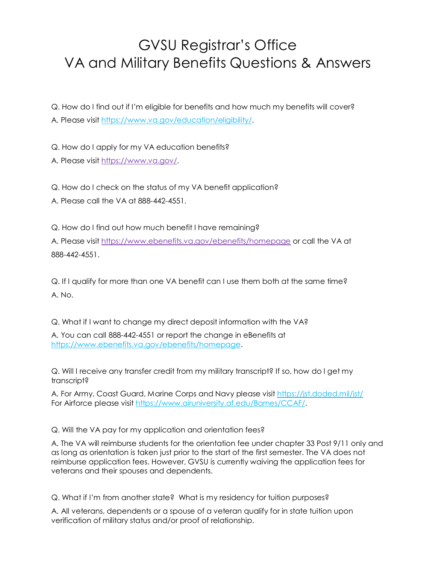## GVSU Registrar's Office VA and Military Benefits Questions & Answers

Q. How do I find out if I'm eligible for benefits and how much my benefits will cover? A. Please visit [https://www.va.gov/education/eligibility/.](https://www.va.gov/education/eligibility/)

Q. How do I apply for my VA education benefits? A. Please visit [https://www.va.gov/.](https://www.va.gov/)

Q. How do I check on the status of my VA benefit application? A. Please call the VA at 888-442-4551.

Q. How do I find out how much benefit I have remaining?

A. Please visit<https://www.ebenefits.va.gov/ebenefits/homepage> or call the VA at 888-442-4551.

Q. If I qualify for more than one VA benefit can I use them both at the same time? A. No.

Q. What if I want to change my direct deposit information with the VA?

A. You can call 888-442-4551 or report the change in eBenefits at [https://www.ebenefits.va.gov/ebenefits/homepage.](https://www.ebenefits.va.gov/ebenefits/homepage)

Q. Will I receive any transfer credit from my military transcript? If so, how do I get my transcript?

A. For Army, Coast Guard, Marine Corps and Navy please visit<https://jst.doded.mil/jst/> For Airforce please visit [https://www.airuniversity.af.edu/Barnes/CCAF/.](https://www.airuniversity.af.edu/Barnes/CCAF/)

Q. Will the VA pay for my application and orientation fees?

A. The VA will reimburse students for the orientation fee under chapter 33 Post 9/11 only and as long as orientation is taken just prior to the start of the first semester. The VA does not reimburse application fees. However, GVSU is currently waiving the application fees for veterans and their spouses and dependents.

Q. What if I'm from another state? What is my residency for tuition purposes?

A. All veterans, dependents or a spouse of a veteran qualify for in state tuition upon verification of military status and/or proof of relationship.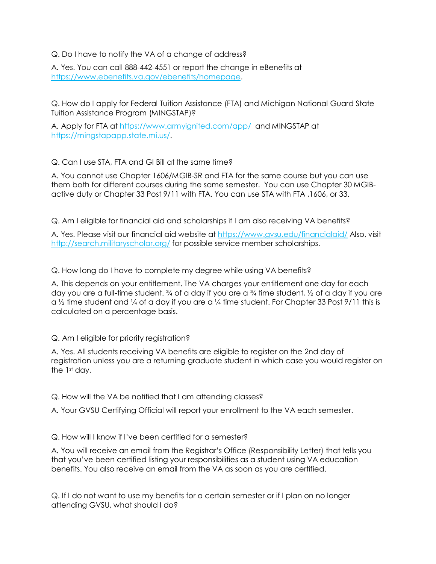Q. Do I have to notify the VA of a change of address?

A. Yes. You can call 888-442-4551 or report the change in eBenefits at [https://www.ebenefits.va.gov/ebenefits/homepage.](https://www.ebenefits.va.gov/ebenefits/homepage)

Q. How do I apply for Federal Tuition Assistance (FTA) and Michigan National Guard State Tuition Assistance Program (MINGSTAP)?

A. Apply for FTA at<https://www.armyignited.com/app/> and MINGSTAP at [https://mingstapapp.state.mi.us/.](https://mingstapapp.state.mi.us/)

Q. Can I use STA, FTA and GI Bill at the same time?

A. You cannot use Chapter 1606/MGIB-SR and FTA for the same course but you can use them both for different courses during the same semester. You can use Chapter 30 MGIBactive duty or Chapter 33 Post 9/11 with FTA. You can use STA with FTA ,1606, or 33.

Q. Am I eligible for financial aid and scholarships if I am also receiving VA benefits?

A. Yes. Please visit our financial aid website at<https://www.gvsu.edu/financialaid/> Also, visit <http://search.militaryscholar.org/> for possible service member scholarships.

Q. How long do I have to complete my degree while using VA benefits?

A. This depends on your entitlement. The VA charges your entitlement one day for each day you are a full-time student.  $\frac{3}{4}$  of a day if you are a  $\frac{3}{4}$  time student,  $\frac{1}{2}$  of a day if you are  $\alpha$  1/2 time student and 1/4 of a day if you are  $\alpha$  1/4 time student. For Chapter 33 Post 9/11 this is calculated on a percentage basis.

Q. Am I eligible for priority registration?

A. Yes. All students receiving VA benefits are eligible to register on the 2nd day of registration unless you are a returning graduate student in which case you would register on the 1st day.

Q. How will the VA be notified that I am attending classes?

A. Your GVSU Certifying Official will report your enrollment to the VA each semester.

Q. How will I know if I've been certified for a semester?

A. You will receive an email from the Registrar's Office (Responsibility Letter) that tells you that you've been certified listing your responsibilities as a student using VA education benefits. You also receive an email from the VA as soon as you are certified.

Q. If I do not want to use my benefits for a certain semester or if I plan on no longer attending GVSU, what should I do?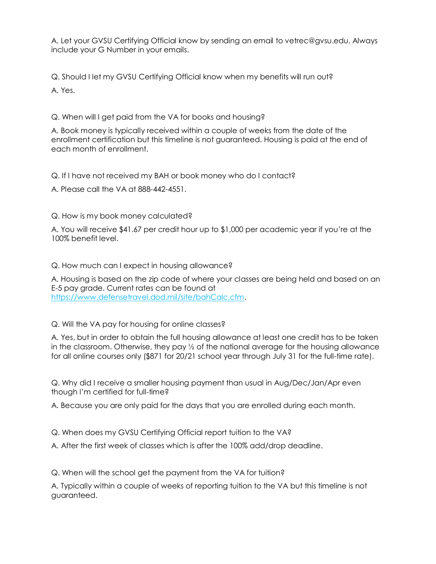A. Let your GVSU Certifying Official know by sending an email to vetrec@gvsu.edu. Always include your G Number in your emails.

Q. Should I let my GVSU Certifying Official know when my benefits will run out? A. Yes.

Q. When will I get paid from the VA for books and housing?

A. Book money is typically received within a couple of weeks from the date of the enrollment certification but this timeline is not guaranteed. Housing is paid at the end of each month of enrollment.

Q. If I have not received my BAH or book money who do I contact?

A. Please call the VA at 888-442-4551.

Q. How is my book money calculated?

A. You will receive \$41.67 per credit hour up to \$1,000 per academic year if you're at the 100% benefit level.

Q. How much can I expect in housing allowance?

A. Housing is based on the zip code of where your classes are being held and based on an E-5 pay grade. Current rates can be found at [https://www.defensetravel.dod.mil/site/bahCalc.cfm.](https://www.defensetravel.dod.mil/site/bahCalc.cfm)

Q. Will the VA pay for housing for online classes?

A. Yes, but in order to obtain the full housing allowance at least one credit has to be taken in the classroom. Otherwise, they pay ½ of the national average for the housing allowance for all online courses only (\$871 for 20/21 school year through July 31 for the full-time rate).

Q. Why did I receive a smaller housing payment than usual in Aug/Dec/Jan/Apr even though I'm certified for full-time?

A. Because you are only paid for the days that you are enrolled during each month.

Q. When does my GVSU Certifying Official report tuition to the VA?

A. After the first week of classes which is after the 100% add/drop deadline.

Q. When will the school get the payment from the VA for tuition?

A. Typically within a couple of weeks of reporting tuition to the VA but this timeline is not guaranteed.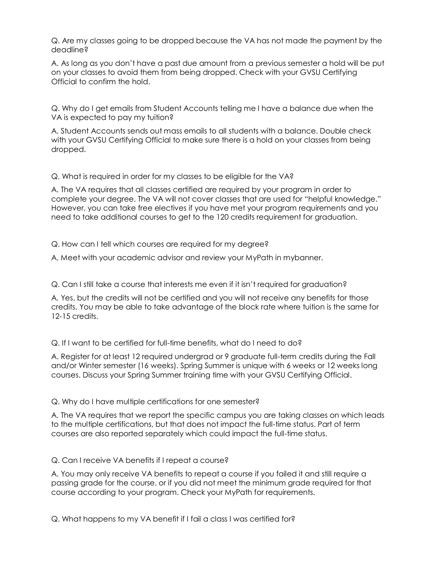Q. Are my classes going to be dropped because the VA has not made the payment by the deadline?

A. As long as you don't have a past due amount from a previous semester a hold will be put on your classes to avoid them from being dropped. Check with your GVSU Certifying Official to confirm the hold.

Q. Why do I get emails from Student Accounts telling me I have a balance due when the VA is expected to pay my tuition?

A. Student Accounts sends out mass emails to all students with a balance. Double check with your GVSU Certifying Official to make sure there is a hold on your classes from being dropped.

Q. What is required in order for my classes to be eligible for the VA?

A. The VA requires that all classes certified are required by your program in order to complete your degree. The VA will not cover classes that are used for "helpful knowledge." However, you can take free electives if you have met your program requirements and you need to take additional courses to get to the 120 credits requirement for graduation.

Q. How can I tell which courses are required for my degree?

A. Meet with your academic advisor and review your MyPath in mybanner.

Q. Can I still take a course that interests me even if it isn't required for graduation?

A. Yes, but the credits will not be certified and you will not receive any benefits for those credits. You may be able to take advantage of the block rate where tuition is the same for 12-15 credits.

Q. If I want to be certified for full-time benefits, what do I need to do?

A. Register for at least 12 required undergrad or 9 graduate full-term credits during the Fall and/or Winter semester (16 weeks). Spring Summer is unique with 6 weeks or 12 weeks long courses. Discuss your Spring Summer training time with your GVSU Certifying Official.

## Q. Why do I have multiple certifications for one semester?

A. The VA requires that we report the specific campus you are taking classes on which leads to the multiple certifications, but that does not impact the full-time status. Part of term courses are also reported separately which could impact the full-time status.

## Q. Can I receive VA benefits if I repeat a course?

A. You may only receive VA benefits to repeat a course if you failed it and still require a passing grade for the course, or if you did not meet the minimum grade required for that course according to your program. Check your MyPath for requirements.

Q. What happens to my VA benefit if I fail a class I was certified for?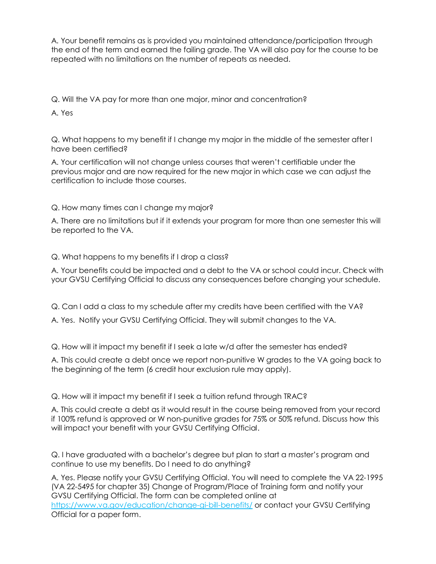A. Your benefit remains as is provided you maintained attendance/participation through the end of the term and earned the failing grade. The VA will also pay for the course to be repeated with no limitations on the number of repeats as needed.

Q. Will the VA pay for more than one major, minor and concentration?

A. Yes

Q. What happens to my benefit if I change my major in the middle of the semester after I have been certified?

A. Your certification will not change unless courses that weren't certifiable under the previous major and are now required for the new major in which case we can adjust the certification to include those courses.

## Q. How many times can I change my major?

A. There are no limitations but if it extends your program for more than one semester this will be reported to the VA.

Q. What happens to my benefits if I drop a class?

A. Your benefits could be impacted and a debt to the VA or school could incur. Check with your GVSU Certifying Official to discuss any consequences before changing your schedule.

Q. Can I add a class to my schedule after my credits have been certified with the VA?

A. Yes. Notify your GVSU Certifying Official. They will submit changes to the VA.

Q. How will it impact my benefit if I seek a late w/d after the semester has ended?

A. This could create a debt once we report non-punitive W grades to the VA going back to the beginning of the term (6 credit hour exclusion rule may apply).

Q. How will it impact my benefit if I seek a tuition refund through TRAC?

A. This could create a debt as it would result in the course being removed from your record if 100% refund is approved or W non-punitive grades for 75% or 50% refund. Discuss how this will impact your benefit with your GVSU Certifying Official.

Q. I have graduated with a bachelor's degree but plan to start a master's program and continue to use my benefits. Do I need to do anything?

A. Yes. Please notify your GVSU Certifying Official. You will need to complete the VA 22-1995 (VA 22-5495 for chapter 35) Change of Program/Place of Training form and notify your GVSU Certifying Official. The form can be completed online at <https://www.va.gov/education/change-gi-bill-benefits/> or contact your GVSU Certifying Official for a paper form.